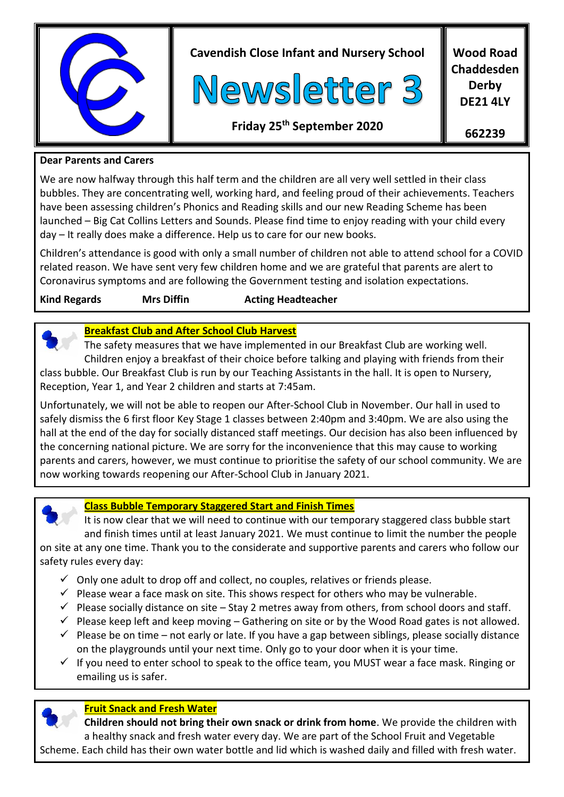

**662239**

#### **Dear Parents and Carers**

We are now halfway through this half term and the children are all very well settled in their class bubbles. They are concentrating well, working hard, and feeling proud of their achievements. Teachers have been assessing children's Phonics and Reading skills and our new Reading Scheme has been launched – Big Cat Collins Letters and Sounds. Please find time to enjoy reading with your child every day – It really does make a difference. Help us to care for our new books.

Children's attendance is good with only a small number of children not able to attend school for a COVID related reason. We have sent very few children home and we are grateful that parents are alert to Coronavirus symptoms and are following the Government testing and isolation expectations.

**Kind Regards Mrs Diffin Acting Headteacher** 



 The safety measures that we have implemented in our Breakfast Club are working well. Children enjoy a breakfast of their choice before talking and playing with friends from their class bubble. Our Breakfast Club is run by our Teaching Assistants in the hall. It is open to Nursery, Reception, Year 1, and Year 2 children and starts at 7:45am.

Unfortunately, we will not be able to reopen our After-School Club in November. Our hall in used to safely dismiss the 6 first floor Key Stage 1 classes between 2:40pm and 3:40pm. We are also using the hall at the end of the day for socially distanced staff meetings. Our decision has also been influenced by the concerning national picture. We are sorry for the inconvenience that this may cause to working parents and carers, however, we must continue to prioritise the safety of our school community. We are now working towards reopening our After-School Club in January 2021.



# **Class Bubble Temporary Staggered Start and Finish Times**

 It is now clear that we will need to continue with our temporary staggered class bubble start and finish times until at least January 2021. We must continue to limit the number the people

on site at any one time. Thank you to the considerate and supportive parents and carers who follow our safety rules every day:

- $\checkmark$  Only one adult to drop off and collect, no couples, relatives or friends please.
- $\checkmark$  Please wear a face mask on site. This shows respect for others who may be vulnerable.
- $\checkmark$  Please socially distance on site Stay 2 metres away from others, from school doors and staff.
- $\checkmark$  Please keep left and keep moving Gathering on site or by the Wood Road gates is not allowed.
- $\checkmark$  Please be on time not early or late. If you have a gap between siblings, please socially distance on the playgrounds until your next time. Only go to your door when it is your time.
- $\checkmark$  If you need to enter school to speak to the office team, you MUST wear a face mask. Ringing or emailing us is safer.

# **Fruit Snack and Fresh Water**

 **Children should not bring their own snack or drink from home**. We provide the children with a healthy snack and fresh water every day. We are part of the School Fruit and Vegetable Scheme. Each child has their own water bottle and lid which is washed daily and filled with fresh water.